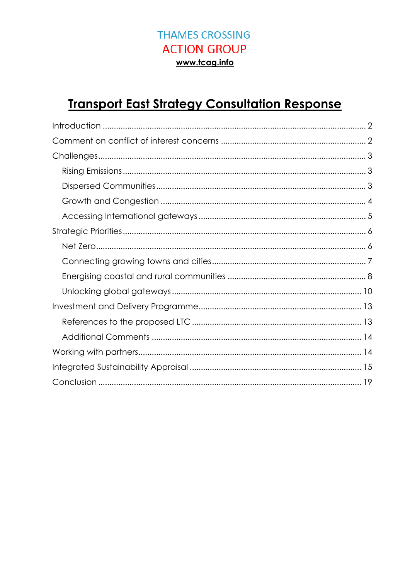# **Transport East Strategy Consultation Response**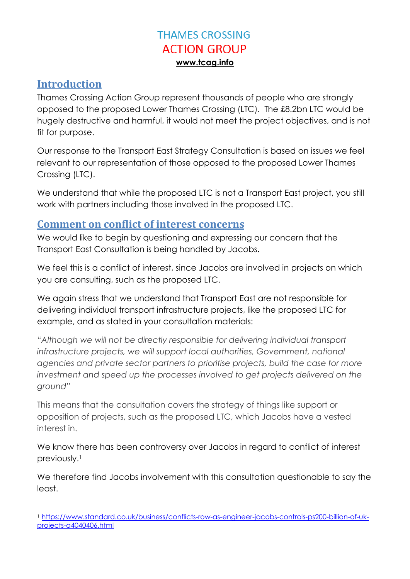#### <span id="page-1-0"></span>**Introduction**

Thames Crossing Action Group represent thousands of people who are strongly opposed to the proposed Lower Thames Crossing (LTC). The £8.2bn LTC would be hugely destructive and harmful, it would not meet the project objectives, and is not fit for purpose.

Our response to the Transport East Strategy Consultation is based on issues we feel relevant to our representation of those opposed to the proposed Lower Thames Crossing (LTC).

We understand that while the proposed LTC is not a Transport East project, you still work with partners including those involved in the proposed LTC.

#### <span id="page-1-1"></span>**Comment on conflict of interest concerns**

We would like to begin by questioning and expressing our concern that the Transport East Consultation is being handled by Jacobs.

We feel this is a conflict of interest, since Jacobs are involved in projects on which you are consulting, such as the proposed LTC.

We again stress that we understand that Transport East are not responsible for delivering individual transport infrastructure projects, like the proposed LTC for example, and as stated in your consultation materials:

*"Although we will not be directly responsible for delivering individual transport infrastructure projects, we will support local authorities, Government, national agencies and private sector partners to prioritise projects, build the case for more*  investment and speed up the processes involved to get projects delivered on the *ground"*

This means that the consultation covers the strategy of things like support or opposition of projects, such as the proposed LTC, which Jacobs have a vested interest in.

We know there has been controversy over Jacobs in regard to conflict of interest previously. 1

We therefore find Jacobs involvement with this consultation questionable to say the least.

<sup>1</sup> <sup>1</sup> [https://www.standard.co.uk/business/conflicts-row-as-engineer-jacobs-controls-ps200-billion-of-uk](https://www.standard.co.uk/business/conflicts-row-as-engineer-jacobs-controls-ps200-billion-of-uk-projects-a4040406.html)[projects-a4040406.html](https://www.standard.co.uk/business/conflicts-row-as-engineer-jacobs-controls-ps200-billion-of-uk-projects-a4040406.html)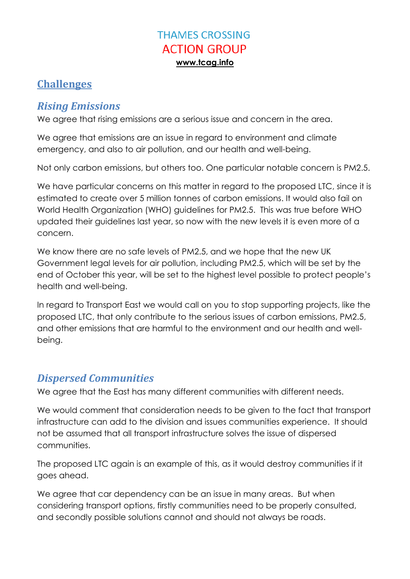### <span id="page-2-0"></span>**Challenges**

### <span id="page-2-1"></span>*Rising Emissions*

We agree that rising emissions are a serious issue and concern in the area.

We agree that emissions are an issue in regard to environment and climate emergency, and also to air pollution, and our health and well-being.

Not only carbon emissions, but others too. One particular notable concern is PM2.5.

We have particular concerns on this matter in regard to the proposed LTC, since it is estimated to create over 5 million tonnes of carbon emissions. It would also fail on World Health Organization (WHO) guidelines for PM2.5. This was true before WHO updated their guidelines last year, so now with the new levels it is even more of a concern.

We know there are no safe levels of PM2.5, and we hope that the new UK Government legal levels for air pollution, including PM2.5, which will be set by the end of October this year, will be set to the highest level possible to protect people's health and well-being.

In regard to Transport East we would call on you to stop supporting projects, like the proposed LTC, that only contribute to the serious issues of carbon emissions, PM2.5, and other emissions that are harmful to the environment and our health and wellbeing.

# <span id="page-2-2"></span>*Dispersed Communities*

We agree that the East has many different communities with different needs.

We would comment that consideration needs to be given to the fact that transport infrastructure can add to the division and issues communities experience. It should not be assumed that all transport infrastructure solves the issue of dispersed communities.

The proposed LTC again is an example of this, as it would destroy communities if it goes ahead.

We agree that car dependency can be an issue in many areas. But when considering transport options, firstly communities need to be properly consulted, and secondly possible solutions cannot and should not always be roads.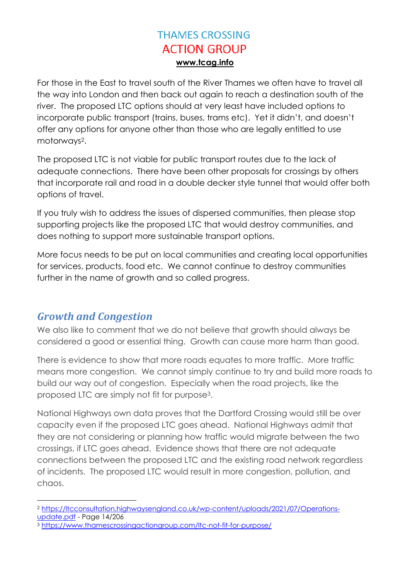For those in the East to travel south of the River Thames we often have to travel all the way into London and then back out again to reach a destination south of the river. The proposed LTC options should at very least have included options to incorporate public transport (trains, buses, trams etc). Yet it didn't, and doesn't offer any options for anyone other than those who are legally entitled to use motorways<sup>2</sup>.

The proposed LTC is not viable for public transport routes due to the lack of adequate connections. There have been other proposals for crossings by others that incorporate rail and road in a double decker style tunnel that would offer both options of travel.

If you truly wish to address the issues of dispersed communities, then please stop supporting projects like the proposed LTC that would destroy communities, and does nothing to support more sustainable transport options.

More focus needs to be put on local communities and creating local opportunities for services, products, food etc. We cannot continue to destroy communities further in the name of growth and so called progress.

### <span id="page-3-0"></span>*Growth and Congestion*

1

We also like to comment that we do not believe that growth should always be considered a good or essential thing. Growth can cause more harm than good.

There is evidence to show that more roads equates to more traffic. More traffic means more congestion. We cannot simply continue to try and build more roads to build our way out of congestion. Especially when the road projects, like the proposed LTC are simply not fit for purpose3.

National Highways own data proves that the Dartford Crossing would still be over capacity even if the proposed LTC goes ahead. National Highways admit that they are not considering or planning how traffic would migrate between the two crossings, if LTC goes ahead. Evidence shows that there are not adequate connections between the proposed LTC and the existing road network regardless of incidents. The proposed LTC would result in more congestion, pollution, and chaos.

<sup>2</sup> [https://ltcconsultation.highwaysengland.co.uk/wp-content/uploads/2021/07/Operations](https://ltcconsultation.highwaysengland.co.uk/wp-content/uploads/2021/07/Operations-update.pdf)[update.pdf](https://ltcconsultation.highwaysengland.co.uk/wp-content/uploads/2021/07/Operations-update.pdf) - Page 14/206

<sup>3</sup> <https://www.thamescrossingactiongroup.com/ltc-not-fit-for-purpose/>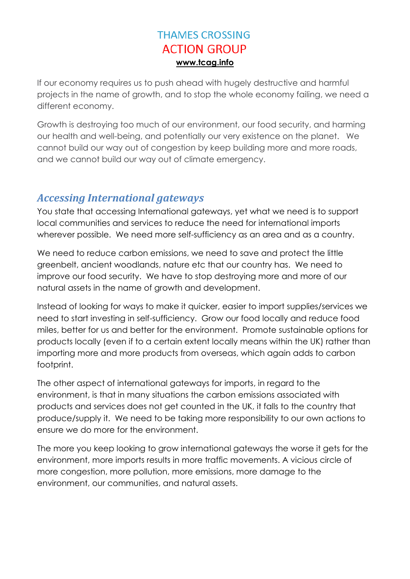If our economy requires us to push ahead with hugely destructive and harmful projects in the name of growth, and to stop the whole economy failing, we need a different economy.

Growth is destroying too much of our environment, our food security, and harming our health and well-being, and potentially our very existence on the planet. We cannot build our way out of congestion by keep building more and more roads, and we cannot build our way out of climate emergency.

### <span id="page-4-0"></span>*Accessing International gateways*

You state that accessing International gateways, yet what we need is to support local communities and services to reduce the need for international imports wherever possible. We need more self-sufficiency as an area and as a country.

We need to reduce carbon emissions, we need to save and protect the little greenbelt, ancient woodlands, nature etc that our country has. We need to improve our food security. We have to stop destroying more and more of our natural assets in the name of growth and development.

Instead of looking for ways to make it quicker, easier to import supplies/services we need to start investing in self-sufficiency. Grow our food locally and reduce food miles, better for us and better for the environment. Promote sustainable options for products locally (even if to a certain extent locally means within the UK) rather than importing more and more products from overseas, which again adds to carbon footprint.

The other aspect of international gateways for imports, in regard to the environment, is that in many situations the carbon emissions associated with products and services does not get counted in the UK, it falls to the country that produce/supply it. We need to be taking more responsibility to our own actions to ensure we do more for the environment.

The more you keep looking to grow international gateways the worse it gets for the environment, more imports results in more traffic movements. A vicious circle of more congestion, more pollution, more emissions, more damage to the environment, our communities, and natural assets.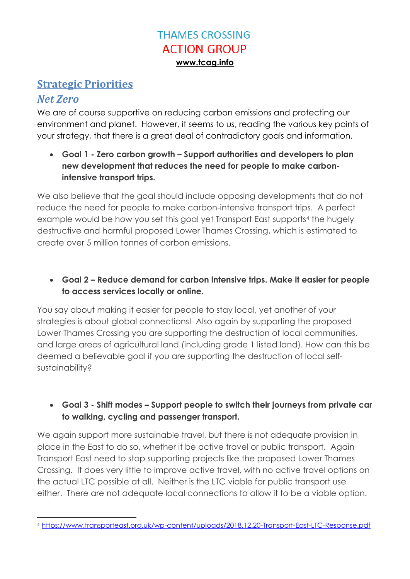#### <span id="page-5-0"></span>**Strategic Priorities**

#### <span id="page-5-1"></span>*Net Zero*

We are of course supportive on reducing carbon emissions and protecting our environment and planet. However, it seems to us, reading the various key points of your strategy, that there is a great deal of contradictory goals and information.

 **Goal 1 - Zero carbon growth – Support authorities and developers to plan new development that reduces the need for people to make carbonintensive transport trips.**

We also believe that the goal should include opposing developments that do not reduce the need for people to make carbon-intensive transport trips. A perfect example would be how you set this goal yet Transport East supports<sup>4</sup> the hugely destructive and harmful proposed Lower Thames Crossing, which is estimated to create over 5 million tonnes of carbon emissions.

 **Goal 2 – Reduce demand for carbon intensive trips. Make it easier for people to access services locally or online.**

You say about making it easier for people to stay local, yet another of your strategies is about global connections! Also again by supporting the proposed Lower Thames Crossing you are supporting the destruction of local communities, and large areas of agricultural land (including grade 1 listed land). How can this be deemed a believable goal if you are supporting the destruction of local selfsustainability?

#### **Goal 3 - Shift modes – Support people to switch their journeys from private car to walking, cycling and passenger transport.**

We again support more sustainable travel, but there is not adequate provision in place in the East to do so, whether it be active travel or public transport. Again Transport East need to stop supporting projects like the proposed Lower Thames Crossing. It does very little to improve active travel, with no active travel options on the actual LTC possible at all. Neither is the LTC viable for public transport use either. There are not adequate local connections to allow it to be a viable option.

 $\overline{a}$ <sup>4</sup> <https://www.transporteast.org.uk/wp-content/uploads/2018.12.20-Transport-East-LTC-Response.pdf>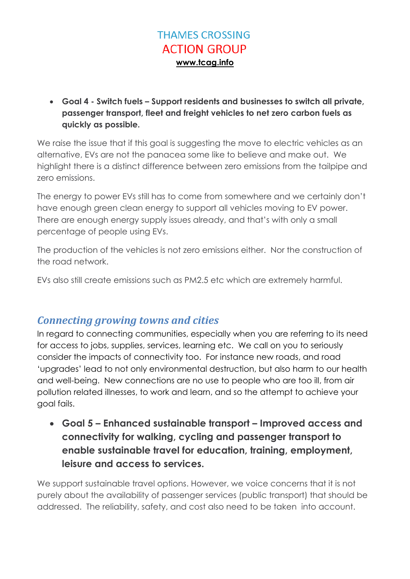**Goal 4 - Switch fuels – Support residents and businesses to switch all private, passenger transport, fleet and freight vehicles to net zero carbon fuels as quickly as possible.**

We raise the issue that if this goal is suggesting the move to electric vehicles as an alternative, EVs are not the panacea some like to believe and make out. We highlight there is a distinct difference between zero emissions from the tailpipe and zero emissions.

The energy to power EVs still has to come from somewhere and we certainly don't have enough green clean energy to support all vehicles moving to EV power. There are enough energy supply issues already, and that's with only a small percentage of people using EVs.

The production of the vehicles is not zero emissions either. Nor the construction of the road network.

EVs also still create emissions such as PM2.5 etc which are extremely harmful.

### <span id="page-6-0"></span>*Connecting growing towns and cities*

In regard to connecting communities, especially when you are referring to its need for access to jobs, supplies, services, learning etc. We call on you to seriously consider the impacts of connectivity too. For instance new roads, and road 'upgrades' lead to not only environmental destruction, but also harm to our health and well-being. New connections are no use to people who are too ill, from air pollution related illnesses, to work and learn, and so the attempt to achieve your goal fails.

 **Goal 5 – Enhanced sustainable transport – Improved access and connectivity for walking, cycling and passenger transport to enable sustainable travel for education, training, employment, leisure and access to services.**

We support sustainable travel options. However, we voice concerns that it is not purely about the availability of passenger services (public transport) that should be addressed. The reliability, safety, and cost also need to be taken into account.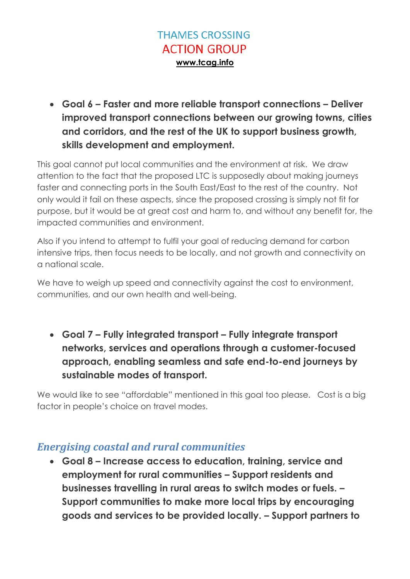**Goal 6 – Faster and more reliable transport connections – Deliver improved transport connections between our growing towns, cities and corridors, and the rest of the UK to support business growth, skills development and employment.**

This goal cannot put local communities and the environment at risk. We draw attention to the fact that the proposed LTC is supposedly about making journeys faster and connecting ports in the South East/East to the rest of the country. Not only would it fail on these aspects, since the proposed crossing is simply not fit for purpose, but it would be at great cost and harm to, and without any benefit for, the impacted communities and environment.

Also if you intend to attempt to fulfil your goal of reducing demand for carbon intensive trips, then focus needs to be locally, and not growth and connectivity on a national scale.

We have to weigh up speed and connectivity against the cost to environment, communities, and our own health and well-being.

 **Goal 7 – Fully integrated transport – Fully integrate transport networks, services and operations through a customer-focused approach, enabling seamless and safe end-to-end journeys by sustainable modes of transport.**

We would like to see "affordable" mentioned in this goal too please. Cost is a big factor in people's choice on travel modes.

### <span id="page-7-0"></span>*Energising coastal and rural communities*

 **Goal 8 – Increase access to education, training, service and employment for rural communities – Support residents and businesses travelling in rural areas to switch modes or fuels. – Support communities to make more local trips by encouraging goods and services to be provided locally. – Support partners to**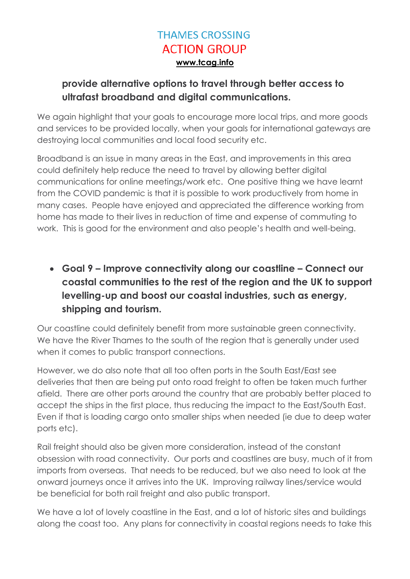#### **provide alternative options to travel through better access to ultrafast broadband and digital communications.**

We again highlight that your goals to encourage more local trips, and more goods and services to be provided locally, when your goals for international gateways are destroying local communities and local food security etc.

Broadband is an issue in many areas in the East, and improvements in this area could definitely help reduce the need to travel by allowing better digital communications for online meetings/work etc. One positive thing we have learnt from the COVID pandemic is that it is possible to work productively from home in many cases. People have enjoyed and appreciated the difference working from home has made to their lives in reduction of time and expense of commuting to work. This is good for the environment and also people's health and well-being.

 **Goal 9 – Improve connectivity along our coastline – Connect our coastal communities to the rest of the region and the UK to support levelling-up and boost our coastal industries, such as energy, shipping and tourism.**

Our coastline could definitely benefit from more sustainable green connectivity. We have the River Thames to the south of the region that is generally under used when it comes to public transport connections.

However, we do also note that all too often ports in the South East/East see deliveries that then are being put onto road freight to often be taken much further afield. There are other ports around the country that are probably better placed to accept the ships in the first place, thus reducing the impact to the East/South East. Even if that is loading cargo onto smaller ships when needed (ie due to deep water ports etc).

Rail freight should also be given more consideration, instead of the constant obsession with road connectivity. Our ports and coastlines are busy, much of it from imports from overseas. That needs to be reduced, but we also need to look at the onward journeys once it arrives into the UK. Improving railway lines/service would be beneficial for both rail freight and also public transport.

We have a lot of lovely coastline in the East, and a lot of historic sites and buildings along the coast too. Any plans for connectivity in coastal regions needs to take this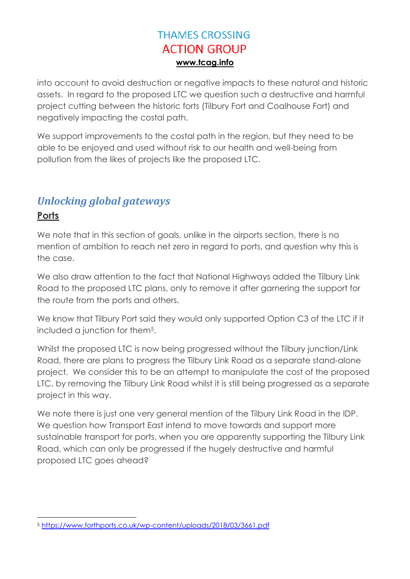into account to avoid destruction or negative impacts to these natural and historic assets. In regard to the proposed LTC we question such a destructive and harmful project cutting between the historic forts (Tilbury Fort and Coalhouse Fort) and negatively impacting the costal path.

We support improvements to the costal path in the region, but they need to be able to be enjoyed and used without risk to our health and well-being from pollution from the likes of projects like the proposed LTC.

# <span id="page-9-0"></span>*Unlocking global gateways*

#### **Ports**

We note that in this section of goals, unlike in the airports section, there is no mention of ambition to reach net zero in regard to ports, and question why this is the case.

We also draw attention to the fact that National Highways added the Tilbury Link Road to the proposed LTC plans, only to remove it after garnering the support for the route from the ports and others.

We know that Tilbury Port said they would only supported Option C3 of the LTC if it included a junction for them5.

Whilst the proposed LTC is now being progressed without the Tilbury junction/Link Road, there are plans to progress the Tilbury Link Road as a separate stand-alone project. We consider this to be an attempt to manipulate the cost of the proposed LTC, by removing the Tilbury Link Road whilst it is still being progressed as a separate project in this way.

We note there is just one very general mention of the Tilbury Link Road in the IDP. We question how Transport East intend to move towards and support more sustainable transport for ports, when you are apparently supporting the Tilbury Link Road, which can only be progressed if the hugely destructive and harmful proposed LTC goes ahead?

 $\overline{a}$ <sup>5</sup> <https://www.forthports.co.uk/wp-content/uploads/2018/03/3661.pdf>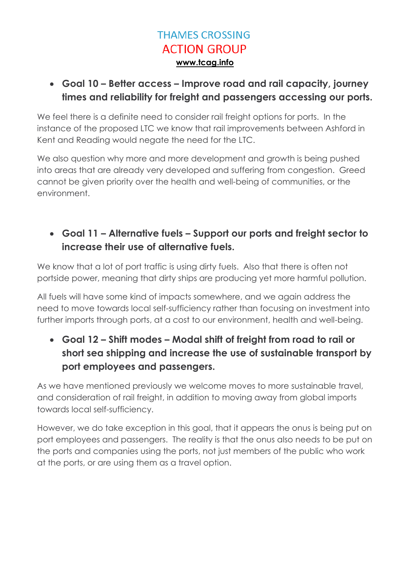**Goal 10 – Better access – Improve road and rail capacity, journey times and reliability for freight and passengers accessing our ports.**

We feel there is a definite need to consider rail freight options for ports. In the instance of the proposed LTC we know that rail improvements between Ashford in Kent and Reading would negate the need for the LTC.

We also question why more and more development and growth is being pushed into areas that are already very developed and suffering from congestion. Greed cannot be given priority over the health and well-being of communities, or the environment.

#### **Goal 11 – Alternative fuels – Support our ports and freight sector to increase their use of alternative fuels.**

We know that a lot of port traffic is using dirty fuels. Also that there is often not portside power, meaning that dirty ships are producing yet more harmful pollution.

All fuels will have some kind of impacts somewhere, and we again address the need to move towards local self-sufficiency rather than focusing on investment into further imports through ports, at a cost to our environment, health and well-being.

 **Goal 12 – Shift modes – Modal shift of freight from road to rail or short sea shipping and increase the use of sustainable transport by port employees and passengers.**

As we have mentioned previously we welcome moves to more sustainable travel, and consideration of rail freight, in addition to moving away from global imports towards local self-sufficiency.

However, we do take exception in this goal, that it appears the onus is being put on port employees and passengers. The reality is that the onus also needs to be put on the ports and companies using the ports, not just members of the public who work at the ports, or are using them as a travel option.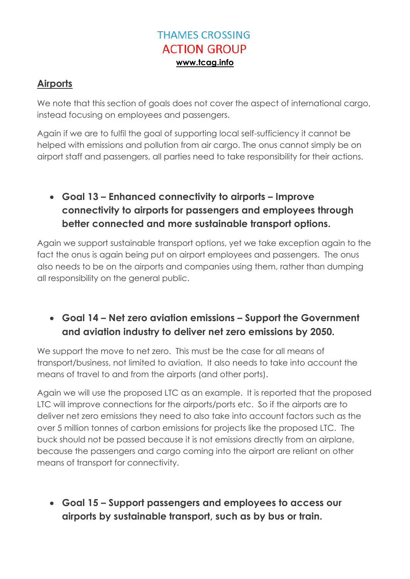#### **Airports**

We note that this section of goals does not cover the aspect of international cargo, instead focusing on employees and passengers.

Again if we are to fulfil the goal of supporting local self-sufficiency it cannot be helped with emissions and pollution from air cargo. The onus cannot simply be on airport staff and passengers, all parties need to take responsibility for their actions.

### **Goal 13 – Enhanced connectivity to airports – Improve connectivity to airports for passengers and employees through better connected and more sustainable transport options.**

Again we support sustainable transport options, yet we take exception again to the fact the onus is again being put on airport employees and passengers. The onus also needs to be on the airports and companies using them, rather than dumping all responsibility on the general public.

#### **Goal 14 – Net zero aviation emissions – Support the Government and aviation industry to deliver net zero emissions by 2050.**

We support the move to net zero. This must be the case for all means of transport/business, not limited to aviation. It also needs to take into account the means of travel to and from the airports (and other ports).

Again we will use the proposed LTC as an example. It is reported that the proposed LTC will improve connections for the airports/ports etc. So if the airports are to deliver net zero emissions they need to also take into account factors such as the over 5 million tonnes of carbon emissions for projects like the proposed LTC. The buck should not be passed because it is not emissions directly from an airplane, because the passengers and cargo coming into the airport are reliant on other means of transport for connectivity.

 **Goal 15 – Support passengers and employees to access our airports by sustainable transport, such as by bus or train.**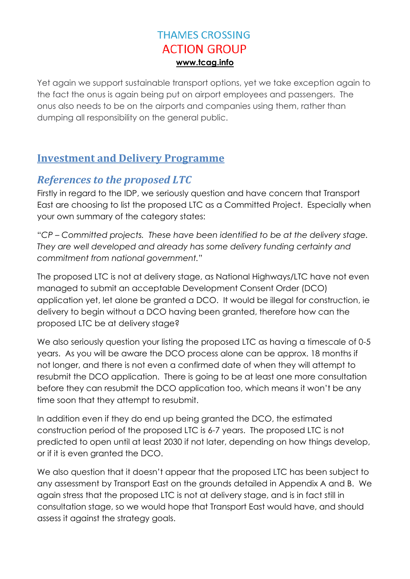Yet again we support sustainable transport options, yet we take exception again to the fact the onus is again being put on airport employees and passengers. The onus also needs to be on the airports and companies using them, rather than dumping all responsibility on the general public.

#### <span id="page-12-0"></span>**Investment and Delivery Programme**

### <span id="page-12-1"></span>*References to the proposed LTC*

Firstly in regard to the IDP, we seriously question and have concern that Transport East are choosing to list the proposed LTC as a Committed Project. Especially when your own summary of the category states:

"*CP – Committed projects. These have been identified to be at the delivery stage. They are well developed and already has some delivery funding certainty and commitment from national government.*"

The proposed LTC is not at delivery stage, as National Highways/LTC have not even managed to submit an acceptable Development Consent Order (DCO) application yet, let alone be granted a DCO. It would be illegal for construction, ie delivery to begin without a DCO having been granted, therefore how can the proposed LTC be at delivery stage?

We also seriously question your listing the proposed LTC as having a timescale of 0-5 years. As you will be aware the DCO process alone can be approx. 18 months if not longer, and there is not even a confirmed date of when they will attempt to resubmit the DCO application. There is going to be at least one more consultation before they can resubmit the DCO application too, which means it won't be any time soon that they attempt to resubmit.

In addition even if they do end up being granted the DCO, the estimated construction period of the proposed LTC is 6-7 years. The proposed LTC is not predicted to open until at least 2030 if not later, depending on how things develop, or if it is even granted the DCO.

We also question that it doesn't appear that the proposed LTC has been subject to any assessment by Transport East on the grounds detailed in Appendix A and B. We again stress that the proposed LTC is not at delivery stage, and is in fact still in consultation stage, so we would hope that Transport East would have, and should assess it against the strategy goals.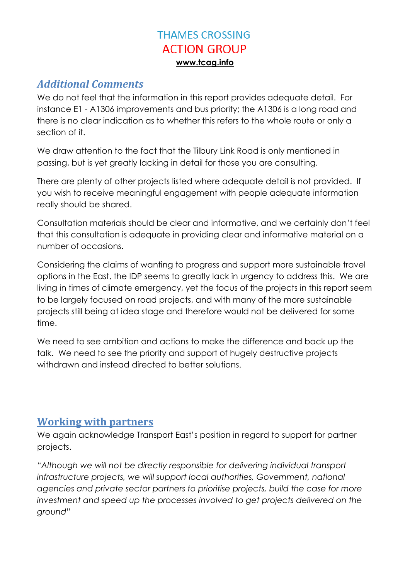#### <span id="page-13-0"></span>*Additional Comments*

We do not feel that the information in this report provides adequate detail. For instance E1 - A1306 improvements and bus priority; the A1306 is a long road and there is no clear indication as to whether this refers to the whole route or only a section of it.

We draw attention to the fact that the Tilbury Link Road is only mentioned in passing, but is yet greatly lacking in detail for those you are consulting.

There are plenty of other projects listed where adequate detail is not provided. If you wish to receive meaningful engagement with people adequate information really should be shared.

Consultation materials should be clear and informative, and we certainly don't feel that this consultation is adequate in providing clear and informative material on a number of occasions.

Considering the claims of wanting to progress and support more sustainable travel options in the East, the IDP seems to greatly lack in urgency to address this. We are living in times of climate emergency, yet the focus of the projects in this report seem to be largely focused on road projects, and with many of the more sustainable projects still being at idea stage and therefore would not be delivered for some time.

We need to see ambition and actions to make the difference and back up the talk. We need to see the priority and support of hugely destructive projects withdrawn and instead directed to better solutions.

#### <span id="page-13-1"></span>**Working with partners**

We again acknowledge Transport East's position in regard to support for partner projects.

"*Although we will not be directly responsible for delivering individual transport*  infrastructure projects, we will support local authorities, Government, national *agencies and private sector partners to prioritise projects, build the case for more investment and speed up the processes involved to get projects delivered on the ground*"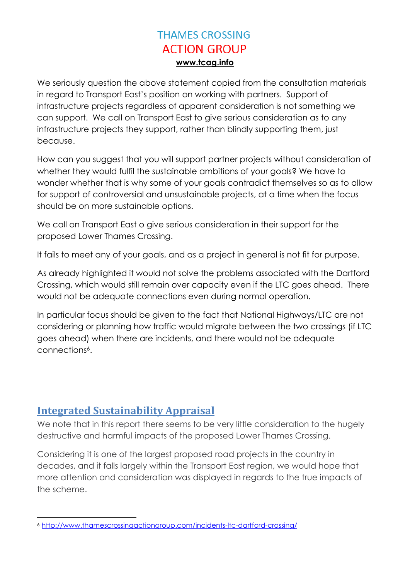We seriously question the above statement copied from the consultation materials in regard to Transport East's position on working with partners. Support of infrastructure projects regardless of apparent consideration is not something we can support. We call on Transport East to give serious consideration as to any infrastructure projects they support, rather than blindly supporting them, just because.

How can you suggest that you will support partner projects without consideration of whether they would fulfil the sustainable ambitions of your goals? We have to wonder whether that is why some of your goals contradict themselves so as to allow for support of controversial and unsustainable projects, at a time when the focus should be on more sustainable options.

We call on Transport East o give serious consideration in their support for the proposed Lower Thames Crossing.

It fails to meet any of your goals, and as a project in general is not fit for purpose.

As already highlighted it would not solve the problems associated with the Dartford Crossing, which would still remain over capacity even if the LTC goes ahead. There would not be adequate connections even during normal operation.

In particular focus should be given to the fact that National Highways/LTC are not considering or planning how traffic would migrate between the two crossings (if LTC goes ahead) when there are incidents, and there would not be adequate connections6.

### <span id="page-14-0"></span>**Integrated Sustainability Appraisal**

We note that in this report there seems to be very little consideration to the hugely destructive and harmful impacts of the proposed Lower Thames Crossing.

Considering it is one of the largest proposed road projects in the country in decades, and it falls largely within the Transport East region, we would hope that more attention and consideration was displayed in regards to the true impacts of the scheme.

 $\overline{a}$ <sup>6</sup> <http://www.thamescrossingactiongroup.com/incidents-ltc-dartford-crossing/>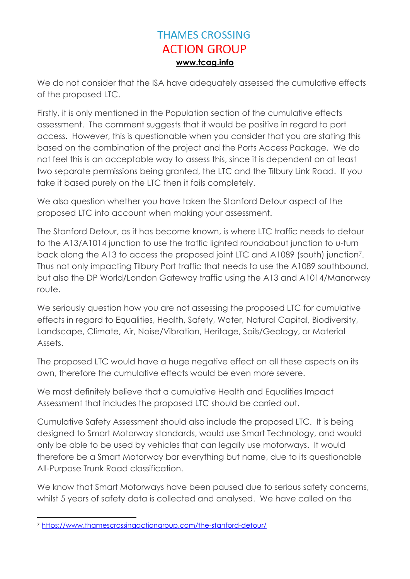We do not consider that the ISA have adequately assessed the cumulative effects of the proposed LTC.

Firstly, it is only mentioned in the Population section of the cumulative effects assessment. The comment suggests that it would be positive in regard to port access. However, this is questionable when you consider that you are stating this based on the combination of the project and the Ports Access Package. We do not feel this is an acceptable way to assess this, since it is dependent on at least two separate permissions being granted, the LTC and the Tilbury Link Road. If you take it based purely on the LTC then it fails completely.

We also question whether you have taken the Stanford Detour aspect of the proposed LTC into account when making your assessment.

The Stanford Detour, as it has become known, is where LTC traffic needs to detour to the A13/A1014 junction to use the traffic lighted roundabout junction to u-turn back along the A13 to access the proposed joint LTC and A1089 (south) junction7. Thus not only impacting Tilbury Port traffic that needs to use the A1089 southbound, but also the DP World/London Gateway traffic using the A13 and A1014/Manorway route.

We seriously question how you are not assessing the proposed LTC for cumulative effects in regard to Equalities, Health, Safety, Water, Natural Capital, Biodiversity, Landscape, Climate, Air, Noise/Vibration, Heritage, Soils/Geology, or Material Assets.

The proposed LTC would have a huge negative effect on all these aspects on its own, therefore the cumulative effects would be even more severe.

We most definitely believe that a cumulative Health and Equalities Impact Assessment that includes the proposed LTC should be carried out.

Cumulative Safety Assessment should also include the proposed LTC. It is being designed to Smart Motorway standards, would use Smart Technology, and would only be able to be used by vehicles that can legally use motorways. It would therefore be a Smart Motorway bar everything but name, due to its questionable All-Purpose Trunk Road classification.

We know that Smart Motorways have been paused due to serious safety concerns, whilst 5 years of safety data is collected and analysed. We have called on the

 $\overline{a}$ <sup>7</sup> <https://www.thamescrossingactiongroup.com/the-stanford-detour/>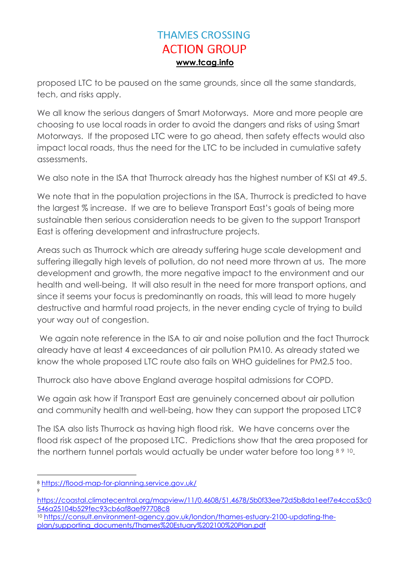proposed LTC to be paused on the same grounds, since all the same standards, tech, and risks apply.

We all know the serious dangers of Smart Motorways. More and more people are choosing to use local roads in order to avoid the dangers and risks of using Smart Motorways. If the proposed LTC were to go ahead, then safety effects would also impact local roads, thus the need for the LTC to be included in cumulative safety assessments.

We also note in the ISA that Thurrock already has the highest number of KSI at 49.5.

We note that in the population projections in the ISA, Thurrock is predicted to have the largest % increase. If we are to believe Transport East's goals of being more sustainable then serious consideration needs to be given to the support Transport East is offering development and infrastructure projects.

Areas such as Thurrock which are already suffering huge scale development and suffering illegally high levels of pollution, do not need more thrown at us. The more development and growth, the more negative impact to the environment and our health and well-being. It will also result in the need for more transport options, and since it seems your focus is predominantly on roads, this will lead to more hugely destructive and harmful road projects, in the never ending cycle of trying to build your way out of congestion.

We again note reference in the ISA to air and noise pollution and the fact Thurrock already have at least 4 exceedances of air pollution PM10. As already stated we know the whole proposed LTC route also fails on WHO guidelines for PM2.5 too.

Thurrock also have above England average hospital admissions for COPD.

We again ask how if Transport East are genuinely concerned about air pollution and community health and well-being, how they can support the proposed LTC?

The ISA also lists Thurrock as having high flood risk. We have concerns over the flood risk aspect of the proposed LTC. Predictions show that the area proposed for the northern tunnel portals would actually be under water before too long 89 10.

9

<sup>1</sup> <sup>8</sup> <https://flood-map-for-planning.service.gov.uk/>

[https://coastal.climatecentral.org/mapview/11/0.4608/51.4678/5b0f33ee72d5b8da1eef7e4cca53c0](https://coastal.climatecentral.org/mapview/11/0.4608/51.4678/5b0f33ee72d5b8da1eef7e4cca53c0546a25104b529fec93cb6af8aef97708c8) [546a25104b529fec93cb6af8aef97708c8](https://coastal.climatecentral.org/mapview/11/0.4608/51.4678/5b0f33ee72d5b8da1eef7e4cca53c0546a25104b529fec93cb6af8aef97708c8)

<sup>10</sup> [https://consult.environment-agency.gov.uk/london/thames-estuary-2100-updating-the](https://consult.environment-agency.gov.uk/london/thames-estuary-2100-updating-the-plan/supporting_documents/Thames%20Estuary%202100%20Plan.pdf)[plan/supporting\\_documents/Thames%20Estuary%202100%20Plan.pdf](https://consult.environment-agency.gov.uk/london/thames-estuary-2100-updating-the-plan/supporting_documents/Thames%20Estuary%202100%20Plan.pdf)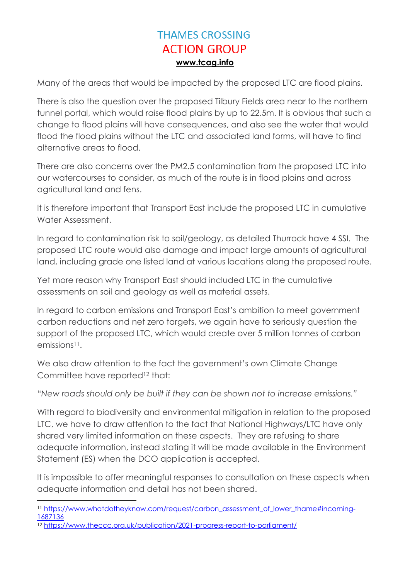Many of the areas that would be impacted by the proposed LTC are flood plains.

There is also the question over the proposed Tilbury Fields area near to the northern tunnel portal, which would raise flood plains by up to 22.5m. It is obvious that such a change to flood plains will have consequences, and also see the water that would flood the flood plains without the LTC and associated land forms, will have to find alternative areas to flood.

There are also concerns over the PM2.5 contamination from the proposed LTC into our watercourses to consider, as much of the route is in flood plains and across agricultural land and fens.

It is therefore important that Transport East include the proposed LTC in cumulative Water Assessment.

In regard to contamination risk to soil/geology, as detailed Thurrock have 4 SSI. The proposed LTC route would also damage and impact large amounts of agricultural land, including grade one listed land at various locations along the proposed route.

Yet more reason why Transport East should included LTC in the cumulative assessments on soil and geology as well as material assets.

In regard to carbon emissions and Transport East's ambition to meet government carbon reductions and net zero targets, we again have to seriously question the support of the proposed LTC, which would create over 5 million tonnes of carbon emissions<sup>11</sup>.

We also draw attention to the fact the government's own Climate Change Committee have reported<sup>12</sup> that:

"*New roads should only be built if they can be shown not to increase emissions."*

With regard to biodiversity and environmental mitigation in relation to the proposed LTC, we have to draw attention to the fact that National Highways/LTC have only shared very limited information on these aspects. They are refusing to share adequate information, instead stating it will be made available in the Environment Statement (ES) when the DCO application is accepted.

It is impossible to offer meaningful responses to consultation on these aspects when adequate information and detail has not been shared.

1

<sup>&</sup>lt;sup>11</sup> [https://www.whatdotheyknow.com/request/carbon\\_assessment\\_of\\_lower\\_thame#incoming-](https://www.whatdotheyknow.com/request/carbon_assessment_of_lower_thame#incoming-1687136)[1687136](https://www.whatdotheyknow.com/request/carbon_assessment_of_lower_thame#incoming-1687136)

<sup>12</sup> <https://www.theccc.org.uk/publication/2021-progress-report-to-parliament/>